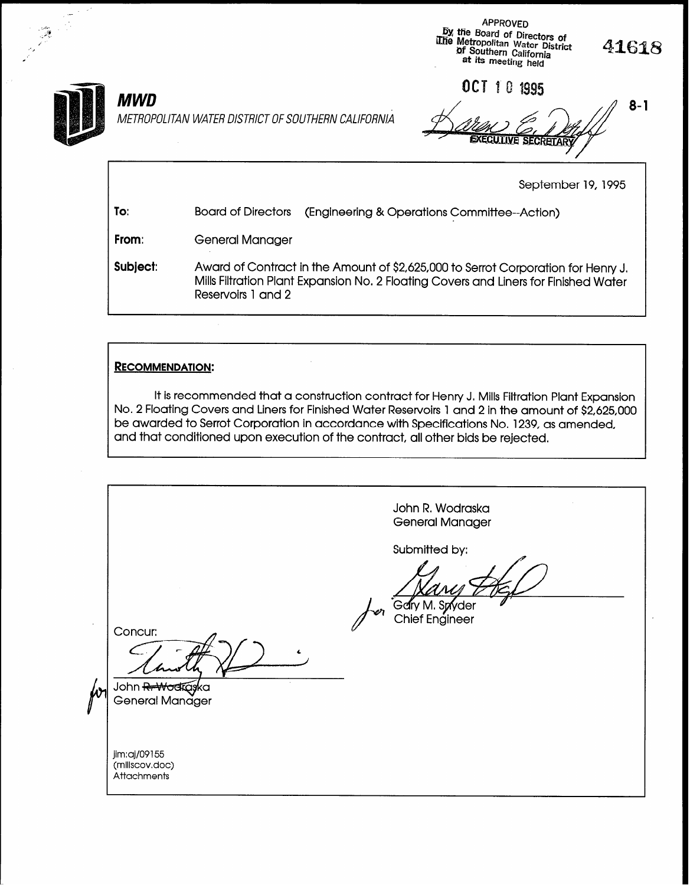

METROPOLITAN WATER DISTRICT OF SOUTHERN CALIFORNIA

 $MWD$   $\qquad \qquad$  ,  $\qquad \qquad$  ,  $\qquad \qquad$  ,  $\qquad \qquad$  ,  $\qquad \qquad$  8-

APPROVED by the Board of Directors of tie metropolitan Water District of Southern California at its meeting held

September 19, 1995

41618

| To:      | <b>Board of Directors</b><br>(Engineering & Operations Committee-Action)                                                                                                                        |  |  |
|----------|-------------------------------------------------------------------------------------------------------------------------------------------------------------------------------------------------|--|--|
| From:    | General Manager                                                                                                                                                                                 |  |  |
| Subject: | Award of Contract in the Amount of \$2,625,000 to Serrot Corporation for Henry J.<br>Mills Filtration Plant Expansion No. 2 Floating Covers and Liners for Finished Water<br>Reservoirs 1 and 2 |  |  |

#### RECOMMENDATION:

It is recommended that a construction contract for Henry J. Mills Filtration Plant Expansion No. 2 Floating Covers and Liners for Finished Water Reservoirs 1 and 2 in the amount of \$2,625,000 be awarded to Serrot Corporation in accordance with Specifications No. 1239, as amended, and that conditioned upon execution of the contract, all other bids be rejected.

John R. Wodraska General Manager Submitted by: Gary M. Spryder **Chief Engineer** Concur: C John <del>R. Wodrąs</del>ka W General Manager jim:aj/09155 (millscov.doc) **Attachments**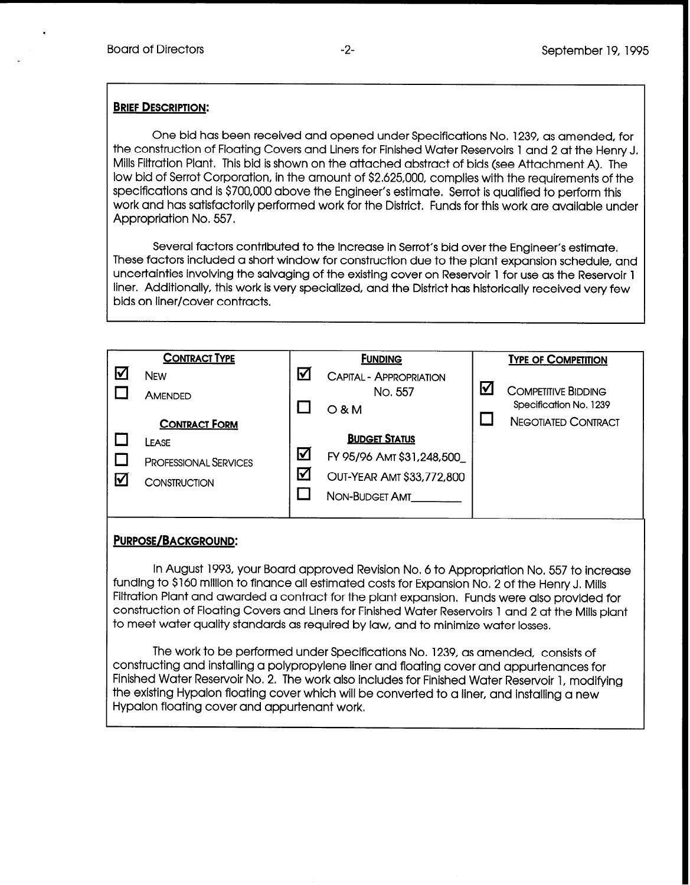.

#### **BRIEF DESCRIPTION:**

One bid has been received and opened under Specifications No, 1239, as amended, for the construction of Floating Covers and Liners for Finished Water Reservoirs 1 and 2 at the Henry J. Mills Filtration Plant. This bid is shown on the attached abstract of bids (see Attachment A). The low bid of Serrot Corporation, in the amount of \$2,625,000, complies with the requirements of the specifications and is \$700,000 above the Engineer's estimate. Serrot is qualified to perform this work and has satisfactorily performed work for the District. Funds for this work are available under Appropriation No. 557,

Several factors contributed to the increase in Serrot's bid over the Engineer's estimate, These factors included a short window for construction due to the plant expansion schedule, and uncertainties involving the salvaging of the existing cover on Reservoir 1 for use as the Reservoir 1 liner, Additionally, this work is very specialized, and the District has historically received very few bids on liner/cover contracts.

|   | <b>CONTRACT TYPE</b>         |                      | <b>FUNDING</b>                 |   | <b>TYPE OF COMPETITION</b>                           |
|---|------------------------------|----------------------|--------------------------------|---|------------------------------------------------------|
| V | <b>NEW</b>                   | ⋈                    | <b>CAPITAL - APPROPRIATION</b> |   |                                                      |
|   | AMENDED                      |                      | No. 557                        | Ⅳ | <b>COMPETITIVE BIDDING</b><br>Specification No. 1239 |
|   | <b>CONTRACT FORM</b>         |                      | $O$ & M                        |   | <b>NEGOTIATED CONTRACT</b>                           |
|   | LEASE                        |                      | <b>BUDGET STATUS</b>           |   |                                                      |
|   | <b>PROFESSIONAL SERVICES</b> | $\bm{\triangledown}$ | FY 95/96 AMT \$31,248,500      |   |                                                      |
| Ⅳ | CONSTRUCTION                 | M                    | OUT-YEAR AMT \$33,772,800      |   |                                                      |
|   |                              |                      | NON-BUDGET AMT                 |   |                                                      |
|   |                              |                      |                                |   |                                                      |

#### PURPOSE/BACKGROUND:

In August 1993, your Board approved Revision No. 6 to Appropriation No. 557 to increase funding to \$160 million to finance all estimated costs for Expansion No. 2 of the Henry J, Mills Filtration Plant and awarded a contract for the plant expansion. Funds were also provided for construction of Floating Covers and Liners for Finished Water Reservoirs 1 and 2 at the Mills plant to meet water quality standards as required by law, and to minimize water losses.

The work to be performed under Specifications No, 1239, as amended, consists of constructing and installing a polypropylene liner and floating cover and appurtenances for Finished Water Reservoir No. 2. The work also includes for Finished Water Reservoir 1, modifying the existing Hypalon floating cover which will be converted to a liner, and installing a new Hypalon floating cover and appurtenant work,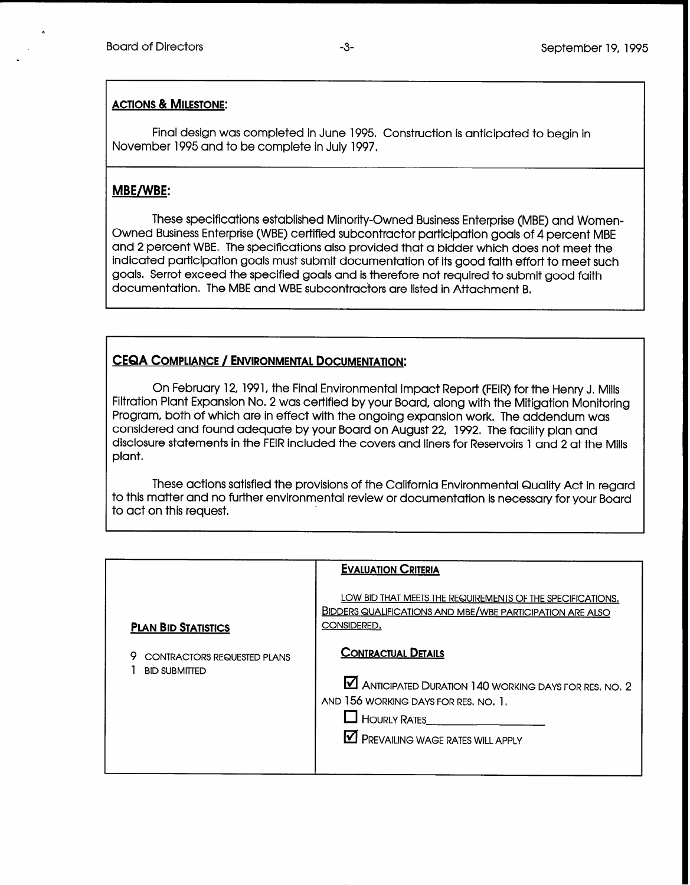#### ACTIONS & MILESTONE:

Final design was completed in June 1995. Construction is anticipated to begin in November 1995 and to be complete in July 1997.

#### MBE/WBE:

These specifications established Minority-Owned Business Enterprise (MBE) and Women-Owned Business Enterprise (WBE) certified subcontractor participation goals of 4 percent MBE and 2 percent WBE, The specifications also provided that a bidder which does not meet the indicated participation goals must submit documentation of its good faith effort to meet such goals. Serrot exceed the specified goals and is therefore not required to submit good faith documentation, The MBE and WBE subcontractors are listed in Attachment B.

### CEQA COMPLIANCE / ENVIRONMENTAL DOCUMENTATION:

On February 12, 1991, the Final Environmental Impact Report (FEIR) for the Henry J. Mills Filtration Plant Expansion No. 2 was certified by your Board, along with the Mitigation Monitoring Program, both of which are in effect with the ongoing expansion work. The addendum was considered and found adequate by your Board on August 22, 1992. The facility plan and disclosure statements in the FEIR included the covers and liners for Reservoirs 1 and 2 at the Mills plant.

These actions satisfied the provisions of the California Environmental Quality Act in regard to this matter and no further environmental review or documentation is necessary for your Board to act on this request.

|                                                            | <b>EVALUATION CRITERIA</b>                                                                                                                                                                                    |
|------------------------------------------------------------|---------------------------------------------------------------------------------------------------------------------------------------------------------------------------------------------------------------|
| <b>PLAN BID STATISTICS</b>                                 | LOW BID THAT MEETS THE REQUIREMENTS OF THE SPECIFICATIONS.<br><b>BIDDERS QUALIFICATIONS AND MBE/WBE PARTICIPATION ARE ALSO</b><br>CONSIDERED.                                                                 |
| <b>CONTRACTORS REQUESTED PLANS</b><br><b>BID SUBMITTED</b> | <b>CONTRACTUAL DETAILS</b><br><b>M</b> ANTICIPATED DURATION 140 WORKING DAYS FOR RES. NO. 2<br>AND 156 WORKING DAYS FOR RES. NO. 1.<br>$\Box$ Hourly Rates<br>$\blacksquare$ PREVAILING WAGE RATES WILL APPLY |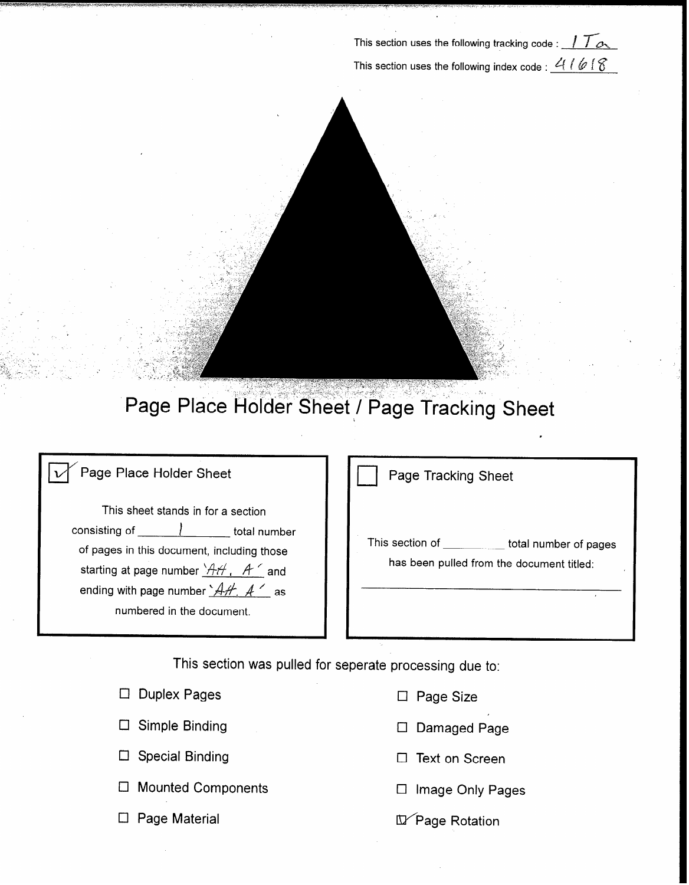- This section uses the following tracking code : 1 1  $\alpha$ This section uses the following index code :  $4166$ 

# Page Place Holder Sheet / Page Tracking Sheet

### Page Place Holder Sheet

This sheet stands in for a section consisting of  $\overline{\qquad \qquad }$  total number of pages in this document, including those starting at page number  $H$  A  $'$  and ending with page number  $A+A, A'$  as numbered in the document.

Page Tracking Sheet

This section of the total number of pages has been pulled from the document titled:

i.

e.<br>P

This section was pulled for seperate processing due to:

|   | $\Box$ Duplex Pages       |  |
|---|---------------------------|--|
|   | $\Box$ Simple Binding     |  |
|   | $\Box$ Special Binding    |  |
| └ | <b>Mounted Components</b> |  |
|   | $\Box$ Page Material      |  |

- $\Box$  Page Size
- D Damaged Page
- $\Box$  Text on Screen
- $\square$  Image Only Pages
- D Page Rotation